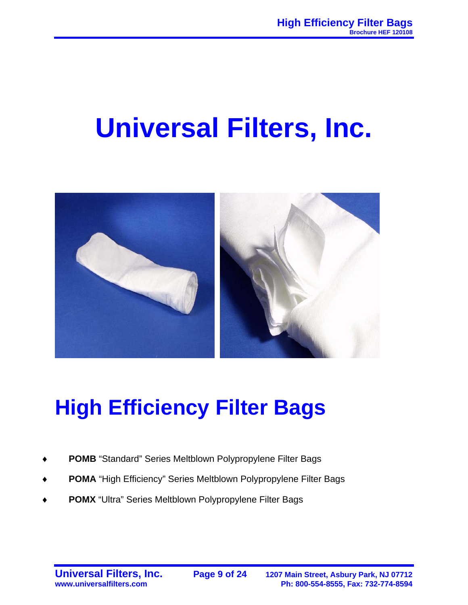# **Universal Filters, Inc.**



## **High Efficiency Filter Bags**

- POMB "Standard" Series Meltblown Polypropylene Filter Bags
- POMA "High Efficiency" Series Meltblown Polypropylene Filter Bags
- POMX "Ultra" Series Meltblown Polypropylene Filter Bags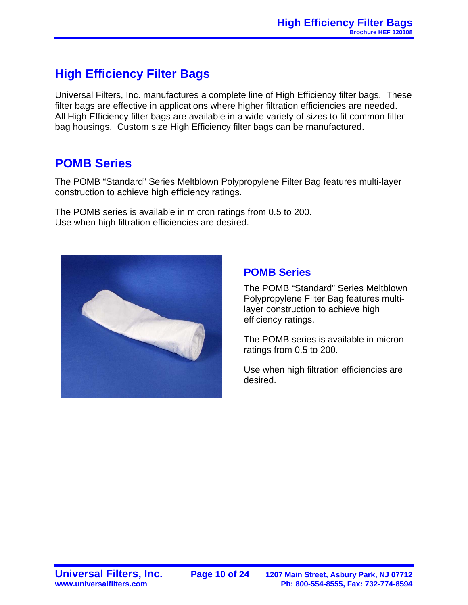### **High Efficiency Filter Bags**

Universal Filters, Inc. manufactures a complete line of High Efficiency filter bags. These filter bags are effective in applications where higher filtration efficiencies are needed. All High Efficiency filter bags are available in a wide variety of sizes to fit common filter bag housings. Custom size High Efficiency filter bags can be manufactured.

#### **POMB Series**

The POMB "Standard" Series Meltblown Polypropylene Filter Bag features multi-layer construction to achieve high efficiency ratings.

The POMB series is available in micron ratings from 0.5 to 200. Use when high filtration efficiencies are desired.



#### **POMB Series**

The POMB "Standard" Series Meltblown Polypropylene Filter Bag features multilayer construction to achieve high efficiency ratings.

The POMB series is available in micron ratings from 0.5 to 200.

Use when high filtration efficiencies are desired.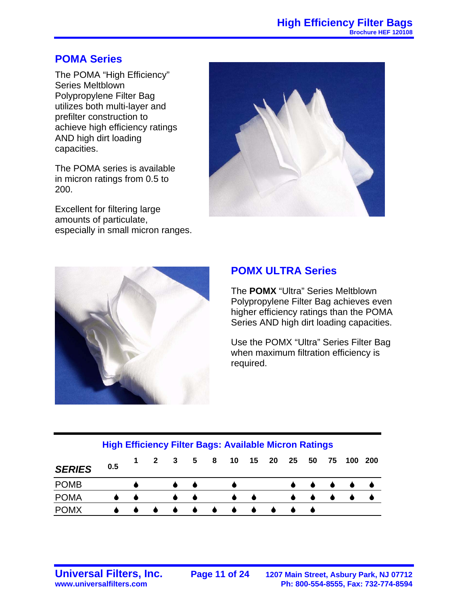#### **POMA Series**

The POMA "High Efficiency" Series Meltblown Polypropylene Filter Bag utilizes both multi-layer and prefilter construction to achieve high efficiency ratings AND high dirt loading capacities.

The POMA series is available in micron ratings from 0.5 to 200.

Excellent for filtering large amounts of particulate, especially in small micron ranges.





#### **POMX ULTRA Series**

The **POMX** "Ultra" Series Meltblown Polypropylene Filter Bag achieves even higher efficiency ratings than the POMA Series AND high dirt loading capacities.

Use the POMX "Ultra" Series Filter Bag when maximum filtration efficiency is required.

| <b>High Efficiency Filter Bags: Available Micron Ratings</b> |  |  |
|--------------------------------------------------------------|--|--|
|                                                              |  |  |

| <b>SERIES</b> | 0.5 |           |  |  |   |  |  | 1 2 3 5 8 10 15 20 25 50 75 100 200 |  |
|---------------|-----|-----------|--|--|---|--|--|-------------------------------------|--|
| <b>POMB</b>   |     |           |  |  |   |  |  |                                     |  |
| <b>POMA</b>   |     |           |  |  |   |  |  |                                     |  |
| <b>POMX</b>   |     | $\bullet$ |  |  | . |  |  |                                     |  |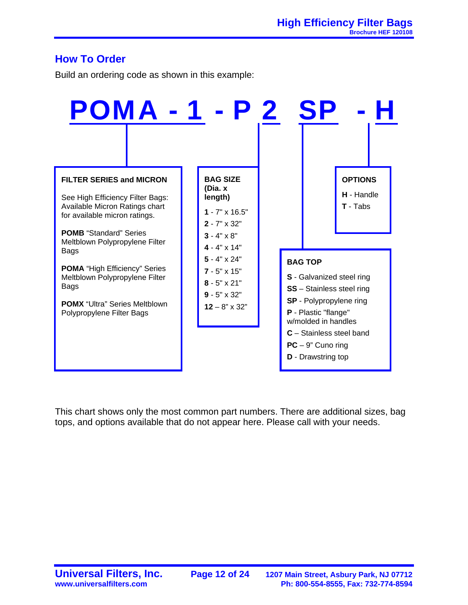#### **How To Order**

Build an ordering code as shown in this example:



This chart shows only the most common part numbers. There are additional sizes, bag tops, and options available that do not appear here. Please call with your needs.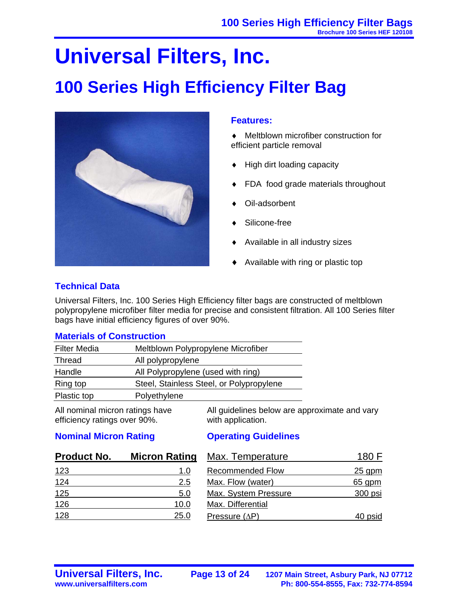## **Universal Filters, Inc.**

### **100 Series High Efficiency Filter Bag**



#### **Features:**

- ♦ Meltblown microfiber construction for efficient particle removal
- ♦ High dirt loading capacity
- FDA food grade materials throughout
- Oil-adsorbent
- Silicone-free
- Available in all industry sizes
- Available with ring or plastic top

#### **Technical Data**

Universal Filters, Inc. 100 Series High Efficiency filter bags are constructed of meltblown polypropylene microfiber filter media for precise and consistent filtration. All 100 Series filter bags have initial efficiency figures of over 90%.

#### **Materials of Construction**

| <b>Filter Media</b> | Meltblown Polypropylene Microfiber       |
|---------------------|------------------------------------------|
| Thread              | All polypropylene                        |
| Handle              | All Polypropylene (used with ring)       |
| Ring top            | Steel, Stainless Steel, or Polypropylene |
| Plastic top         | Polyethylene                             |

All nominal micron ratings have efficiency ratings over 90%.

All guidelines below are approximate and vary with application.

#### **Nominal Micron Rating**

#### **Operating Guidelines**

| <b>Product No.</b> | <b>Micron Rating</b> | <b>Max. Temperature</b> | 180 F    |
|--------------------|----------------------|-------------------------|----------|
| <u>123</u>         | 1.0                  | <b>Recommended Flow</b> | $25$ gpm |
| 124                | 2.5                  | Max. Flow (water)       | $65$ gpm |
| 125                | 5.0                  | Max. System Pressure    | 300 psi  |
| 126                | 10.0                 | Max. Differential       |          |
| 128                | 25.0                 | Pressure $(\Delta P)$   | 40 psid  |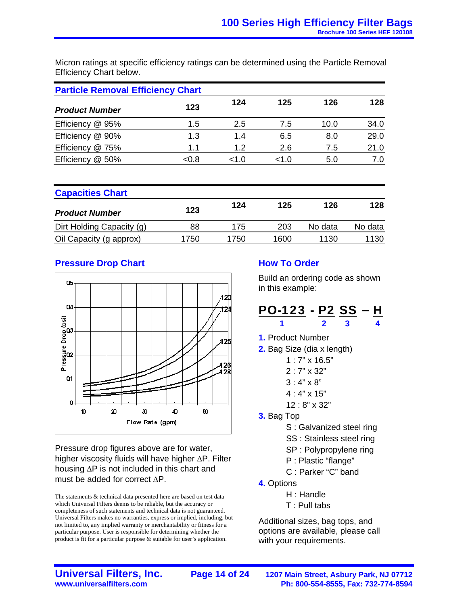Micron ratings at specific efficiency ratings can be determined using the Particle Removal Efficiency Chart below.

| <b>Particle Removal Efficiency Chart</b> |       |       |       |      |      |  |  |  |
|------------------------------------------|-------|-------|-------|------|------|--|--|--|
| <b>Product Number</b>                    | 123   | 124   | 125   | 126  | 128  |  |  |  |
| Efficiency<br>@ 95%                      | 1.5   | 2.5   | 7.5   | 10.0 | 34.0 |  |  |  |
| Efficiency @ 90%                         | 1.3   | 1.4   | 6.5   | 8.0  | 29.0 |  |  |  |
| @ 75%<br>Efficiency                      | 1.1   | 1.2   | 2.6   | 7.5  | 21.0 |  |  |  |
| Efficiency<br>@ 50%                      | < 0.8 | < 1.0 | < 1.0 | 5.0  | 7.0  |  |  |  |

| <b>Capacities Chart</b>   |      |      |      |         |         |  |  |
|---------------------------|------|------|------|---------|---------|--|--|
| <b>Product Number</b>     | 123  | 124  | 125  | 126     | 128     |  |  |
| Dirt Holding Capacity (g) | 88   | 175  | 203  | No data | No data |  |  |
| Oil Capacity (g approx)   | 1750 | 1750 | 1600 | 1130    | 1130    |  |  |

#### **Pressure Drop Chart**



Pressure drop figures above are for water, higher viscosity fluids will have higher ΔP. Filter housing ΔP is not included in this chart and must be added for correct ΔP.

The statements & technical data presented here are based on test data which Universal Filters deems to be reliable, but the accuracy or completeness of such statements and technical data is not guaranteed. Universal Filters makes no warranties, express or implied, including, but not limited to, any implied warranty or merchantability or fitness for a particular purpose. User is responsible for determining whether the product is fit for a particular purpose & suitable for user's application.

#### **How To Order**

Build an ordering code as shown in this example:

#### <u>PO-123</u> - <u>P2 SS</u> – <u>H</u>  **1 2 3 4**

- **1.** Product Number
- **2.** Bag Size (dia x length)
	- 1 : 7" x 16.5"
	- 2 : 7" x 32"
	- $3:4" \times 8"$
	- 4 : 4" x 15"
	- 12 : 8" x 32"
- **3.** Bag Top
	- S : Galvanized steel ring
	- SS : Stainless steel ring
	- SP : Polypropylene ring
	- P : Plastic "flange"
	- C : Parker "C" band
- **4.** Options
	- H : Handle
	- T : Pull tabs

Additional sizes, bag tops, and options are available, please call with your requirements.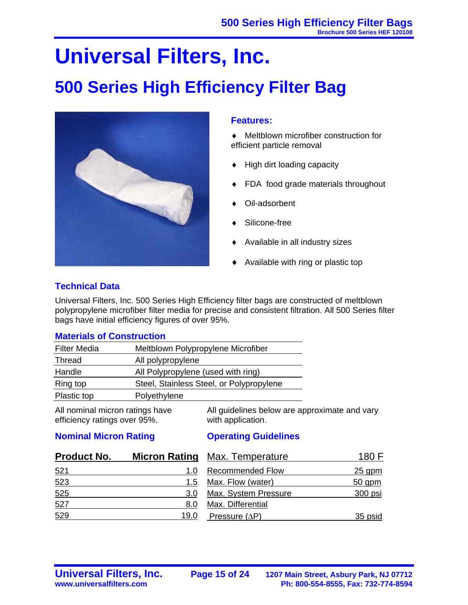# **Universal Filters, Inc.**

### **500 Series High Efficiency Filter Bag**



#### **Features:**

- ♦ Meltblown microfiber construction for efficient particle removal
- ♦ High dirt loading capacity
- FDA food grade materials throughout
- Oil-adsorbent
- Silicone-free
- Available in all industry sizes
- Available with ring or plastic top

#### **Technical Data**

Universal Filters, Inc. 500 Series High Efficiency filter bags are constructed of meltblown polypropylene microfiber filter media for precise and consistent filtration. All 500 Series filter bags have initial efficiency figures of over 95%.

#### **Materials of Construction**

| <b>Filter Media</b> | Meltblown Polypropylene Microfiber       |
|---------------------|------------------------------------------|
| Thread              | All polypropylene                        |
| Handle              | All Polypropylene (used with ring)       |
| Ring top            | Steel, Stainless Steel, or Polypropylene |
| Plastic top         | Polyethylene                             |

All nominal micron ratings have efficiency ratings over 95%.

All guidelines below are approximate and vary with application.

#### **Nominal Micron Rating**

#### **Operating Guidelines**

| <b>Product No.</b> |      | <b>Micron Rating Max. Temperature</b> | 180 F    |  |  |
|--------------------|------|---------------------------------------|----------|--|--|
| 521                | 1.0  | <b>Recommended Flow</b>               | $25$ gpm |  |  |
| 523                | 1.5  | Max. Flow (water)                     | $50$ gpm |  |  |
| 525                | 3.0  | Max. System Pressure                  | 300 psi  |  |  |
| 527                | 8.0  | Max. Differential                     |          |  |  |
| 529                | 19.0 | Pressure $(\Delta P)$                 | 35 psid  |  |  |